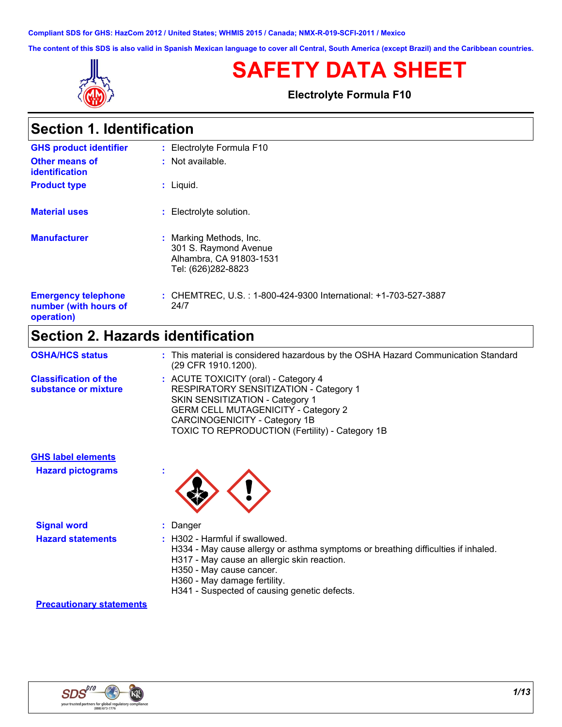**Compliant SDS for GHS: HazCom 2012 / United States; WHMIS 2015 / Canada; NMX-R-019-SCFI-2011 / Mexico**

**The content of this SDS is also valid in Spanish Mexican language to cover all Central, South America (except Brazil) and the Caribbean countries.**



## **SAFETY DATA SHEET**

**Electrolyte Formula F10**

| <b>Section 1. Identification</b> |  |
|----------------------------------|--|
|----------------------------------|--|

| <b>GHS product identifier</b>                                     | : Electrolyte Formula F10                                                                         |
|-------------------------------------------------------------------|---------------------------------------------------------------------------------------------------|
| <b>Other means of</b><br><i>identification</i>                    | : Not available.                                                                                  |
| <b>Product type</b>                                               | $:$ Liquid.                                                                                       |
| <b>Material uses</b>                                              | : Electrolyte solution.                                                                           |
| <b>Manufacturer</b>                                               | : Marking Methods, Inc.<br>301 S. Raymond Avenue<br>Alhambra, CA 91803-1531<br>Tel: (626)282-8823 |
| <b>Emergency telephone</b><br>number (with hours of<br>operation) | : CHEMTREC, U.S. : 1-800-424-9300 International: +1-703-527-3887<br>24/7                          |

## **Section 2. Hazards identification**

| <b>OSHA/HCS status</b>                                | : This material is considered hazardous by the OSHA Hazard Communication Standard<br>(29 CFR 1910.1200).                                                                                                                                            |
|-------------------------------------------------------|-----------------------------------------------------------------------------------------------------------------------------------------------------------------------------------------------------------------------------------------------------|
| <b>Classification of the</b><br>substance or mixture  | : ACUTE TOXICITY (oral) - Category 4<br>RESPIRATORY SENSITIZATION - Category 1<br>SKIN SENSITIZATION - Category 1<br><b>GERM CELL MUTAGENICITY - Category 2</b><br>CARCINOGENICITY - Category 1B<br>TOXIC TO REPRODUCTION (Fertility) - Category 1B |
| <b>GHS label elements</b><br><b>Hazard pictograms</b> |                                                                                                                                                                                                                                                     |

**Signal word :** Danger

- **Hazard statements :** H302 Harmful if swallowed.
	- H334 May cause allergy or asthma symptoms or breathing difficulties if inhaled.
	- H317 May cause an allergic skin reaction.
	- H350 May cause cancer.
	- H360 May damage fertility.
	- H341 Suspected of causing genetic defects.

#### **Precautionary statements**

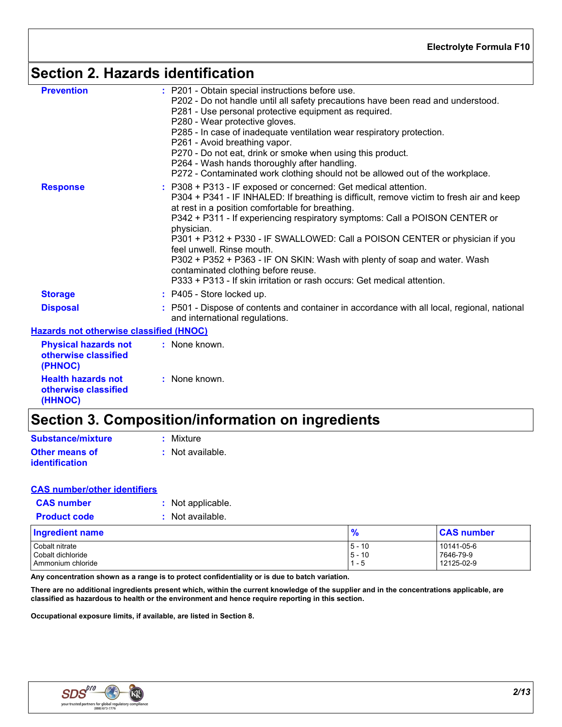## **Section 2. Hazards identification**

| <b>Prevention</b><br><b>Response</b>                                  | : P201 - Obtain special instructions before use.<br>P202 - Do not handle until all safety precautions have been read and understood.<br>P281 - Use personal protective equipment as required.<br>P280 - Wear protective gloves.<br>P285 - In case of inadequate ventilation wear respiratory protection.<br>P261 - Avoid breathing vapor.<br>P270 - Do not eat, drink or smoke when using this product.<br>P264 - Wash hands thoroughly after handling.<br>P272 - Contaminated work clothing should not be allowed out of the workplace.<br>: P308 + P313 - IF exposed or concerned: Get medical attention.<br>P304 + P341 - IF INHALED: If breathing is difficult, remove victim to fresh air and keep<br>at rest in a position comfortable for breathing. |
|-----------------------------------------------------------------------|-------------------------------------------------------------------------------------------------------------------------------------------------------------------------------------------------------------------------------------------------------------------------------------------------------------------------------------------------------------------------------------------------------------------------------------------------------------------------------------------------------------------------------------------------------------------------------------------------------------------------------------------------------------------------------------------------------------------------------------------------------------|
|                                                                       | P342 + P311 - If experiencing respiratory symptoms: Call a POISON CENTER or<br>physician.<br>P301 + P312 + P330 - IF SWALLOWED: Call a POISON CENTER or physician if you<br>feel unwell. Rinse mouth.<br>P302 + P352 + P363 - IF ON SKIN: Wash with plenty of soap and water. Wash<br>contaminated clothing before reuse.<br>P333 + P313 - If skin irritation or rash occurs: Get medical attention.                                                                                                                                                                                                                                                                                                                                                        |
| <b>Storage</b>                                                        | : P405 - Store locked up.                                                                                                                                                                                                                                                                                                                                                                                                                                                                                                                                                                                                                                                                                                                                   |
| <b>Disposal</b>                                                       | : P501 - Dispose of contents and container in accordance with all local, regional, national<br>and international regulations.                                                                                                                                                                                                                                                                                                                                                                                                                                                                                                                                                                                                                               |
| <b>Hazards not otherwise classified (HNOC)</b>                        |                                                                                                                                                                                                                                                                                                                                                                                                                                                                                                                                                                                                                                                                                                                                                             |
| <b>Physical hazards not</b><br>otherwise classified<br><b>(PHNOC)</b> | : None known.                                                                                                                                                                                                                                                                                                                                                                                                                                                                                                                                                                                                                                                                                                                                               |

| otherwise classified<br>(PHNOC)                              |               |
|--------------------------------------------------------------|---------------|
| <b>Health hazards not</b><br>otherwise classified<br>(HHNOC) | : None known. |

## **Section 3. Composition/information on ingredients**

| Substance/mixture     | : Mixture        |
|-----------------------|------------------|
| <b>Other means of</b> | : Not available. |
| <i>identification</i> |                  |

#### **CAS number/other identifiers**

| <b>CAS number</b> |
|-------------------|
|                   |

| <b>Product code</b>    | Not available. |               |                   |
|------------------------|----------------|---------------|-------------------|
| <b>Ingredient name</b> |                | $\frac{9}{6}$ | <b>CAS number</b> |
| Cobalt nitrate         |                | $15 - 10$     | 10141-05-6        |
| Cobalt dichloride      |                | $15 - 10$     | 7646-79-9         |
| Ammonium chloride      |                | l 1 - 5       | 12125-02-9        |

**Any concentration shown as a range is to protect confidentiality or is due to batch variation.**

**There are no additional ingredients present which, within the current knowledge of the supplier and in the concentrations applicable, are classified as hazardous to health or the environment and hence require reporting in this section.**

**Occupational exposure limits, if available, are listed in Section 8.**

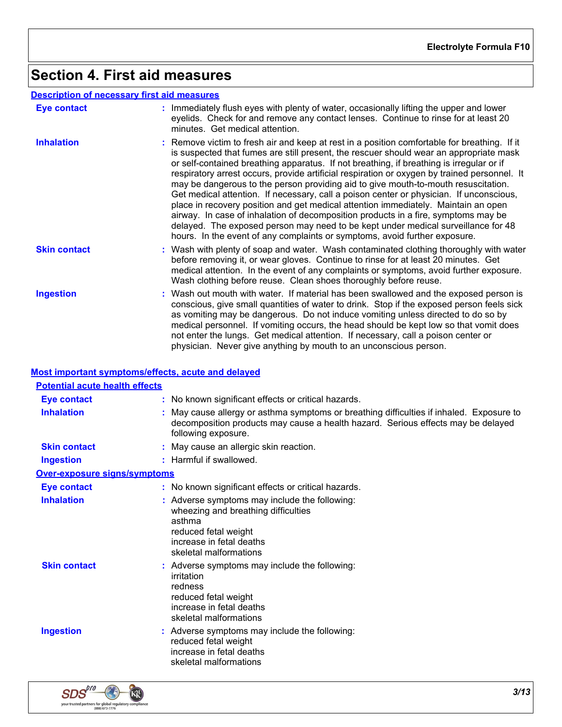## **Section 4. First aid measures**

#### **Description of necessary first aid measures**

| <b>Eye contact</b>  | : Immediately flush eyes with plenty of water, occasionally lifting the upper and lower<br>eyelids. Check for and remove any contact lenses. Continue to rinse for at least 20<br>minutes. Get medical attention.                                                                                                                                                                                                                                                                                                                                                                                                                                                                                                                                                                                                                                                                                                  |
|---------------------|--------------------------------------------------------------------------------------------------------------------------------------------------------------------------------------------------------------------------------------------------------------------------------------------------------------------------------------------------------------------------------------------------------------------------------------------------------------------------------------------------------------------------------------------------------------------------------------------------------------------------------------------------------------------------------------------------------------------------------------------------------------------------------------------------------------------------------------------------------------------------------------------------------------------|
| <b>Inhalation</b>   | : Remove victim to fresh air and keep at rest in a position comfortable for breathing. If it<br>is suspected that fumes are still present, the rescuer should wear an appropriate mask<br>or self-contained breathing apparatus. If not breathing, if breathing is irregular or if<br>respiratory arrest occurs, provide artificial respiration or oxygen by trained personnel. It<br>may be dangerous to the person providing aid to give mouth-to-mouth resuscitation.<br>Get medical attention. If necessary, call a poison center or physician. If unconscious,<br>place in recovery position and get medical attention immediately. Maintain an open<br>airway. In case of inhalation of decomposition products in a fire, symptoms may be<br>delayed. The exposed person may need to be kept under medical surveillance for 48<br>hours. In the event of any complaints or symptoms, avoid further exposure. |
| <b>Skin contact</b> | : Wash with plenty of soap and water. Wash contaminated clothing thoroughly with water<br>before removing it, or wear gloves. Continue to rinse for at least 20 minutes. Get<br>medical attention. In the event of any complaints or symptoms, avoid further exposure.<br>Wash clothing before reuse. Clean shoes thoroughly before reuse.                                                                                                                                                                                                                                                                                                                                                                                                                                                                                                                                                                         |
| <b>Ingestion</b>    | : Wash out mouth with water. If material has been swallowed and the exposed person is<br>conscious, give small quantities of water to drink. Stop if the exposed person feels sick<br>as vomiting may be dangerous. Do not induce vomiting unless directed to do so by<br>medical personnel. If vomiting occurs, the head should be kept low so that vomit does<br>not enter the lungs. Get medical attention. If necessary, call a poison center or<br>physician. Never give anything by mouth to an unconscious person.                                                                                                                                                                                                                                                                                                                                                                                          |

#### **Most important symptoms/effects, acute and delayed**

| <b>Potential acute health effects</b> |                                                                                                                                                                                                     |
|---------------------------------------|-----------------------------------------------------------------------------------------------------------------------------------------------------------------------------------------------------|
| Eye contact                           | : No known significant effects or critical hazards.                                                                                                                                                 |
| <b>Inhalation</b>                     | : May cause allergy or asthma symptoms or breathing difficulties if inhaled. Exposure to<br>decomposition products may cause a health hazard. Serious effects may be delayed<br>following exposure. |
| <b>Skin contact</b>                   | : May cause an allergic skin reaction.                                                                                                                                                              |
| <b>Ingestion</b>                      | : Harmful if swallowed.                                                                                                                                                                             |
| <b>Over-exposure signs/symptoms</b>   |                                                                                                                                                                                                     |
| <b>Eye contact</b>                    | : No known significant effects or critical hazards.                                                                                                                                                 |
| <b>Inhalation</b>                     | : Adverse symptoms may include the following:<br>wheezing and breathing difficulties<br>asthma<br>reduced fetal weight<br>increase in fetal deaths<br>skeletal malformations                        |
| <b>Skin contact</b>                   | : Adverse symptoms may include the following:<br>irritation<br>redness<br>reduced fetal weight<br>increase in fetal deaths<br>skeletal malformations                                                |
| <b>Ingestion</b>                      | : Adverse symptoms may include the following:<br>reduced fetal weight<br>increase in fetal deaths<br>skeletal malformations                                                                         |

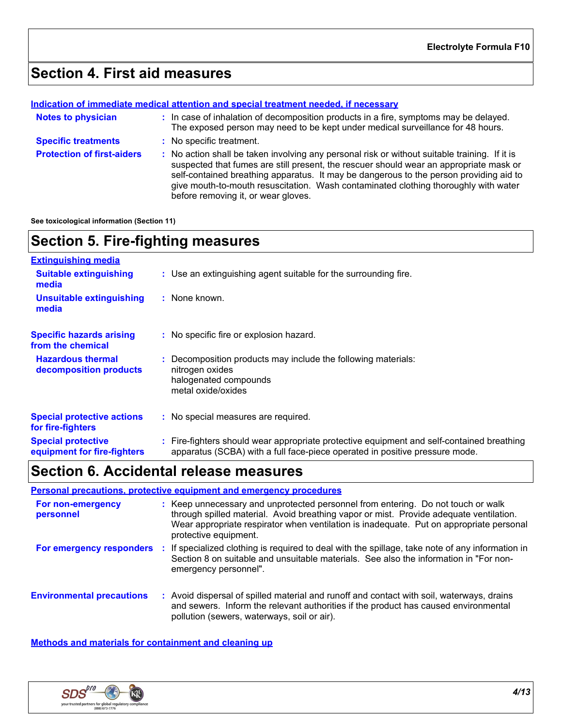## **Section 4. First aid measures**

#### **Indication of immediate medical attention and special treatment needed, if necessary**

| <b>Notes to physician</b>         | : In case of inhalation of decomposition products in a fire, symptoms may be delayed.<br>The exposed person may need to be kept under medical surveillance for 48 hours.                                                                                                                                                                                                                                      |
|-----------------------------------|---------------------------------------------------------------------------------------------------------------------------------------------------------------------------------------------------------------------------------------------------------------------------------------------------------------------------------------------------------------------------------------------------------------|
| <b>Specific treatments</b>        | : No specific treatment.                                                                                                                                                                                                                                                                                                                                                                                      |
| <b>Protection of first-aiders</b> | No action shall be taken involving any personal risk or without suitable training. If it is<br>suspected that fumes are still present, the rescuer should wear an appropriate mask or<br>self-contained breathing apparatus. It may be dangerous to the person providing aid to<br>give mouth-to-mouth resuscitation. Wash contaminated clothing thoroughly with water<br>before removing it, or wear gloves. |

**See toxicological information (Section 11)**

## **Section 5. Fire-fighting measures**

| <b>Extinguishing media</b>                               |                                                                                                                                                                          |
|----------------------------------------------------------|--------------------------------------------------------------------------------------------------------------------------------------------------------------------------|
| <b>Suitable extinguishing</b><br>media                   | : Use an extinguishing agent suitable for the surrounding fire.                                                                                                          |
| <b>Unsuitable extinguishing</b><br>media                 | : None known.                                                                                                                                                            |
| <b>Specific hazards arising</b><br>from the chemical     | : No specific fire or explosion hazard.                                                                                                                                  |
| <b>Hazardous thermal</b><br>decomposition products       | : Decomposition products may include the following materials:<br>nitrogen oxides<br>halogenated compounds<br>metal oxide/oxides                                          |
| <b>Special protective actions</b><br>for fire-fighters   | : No special measures are required.                                                                                                                                      |
| <b>Special protective</b><br>equipment for fire-fighters | : Fire-fighters should wear appropriate protective equipment and self-contained breathing<br>apparatus (SCBA) with a full face-piece operated in positive pressure mode. |

## **Section 6. Accidental release measures**

#### **Personal precautions, protective equipment and emergency procedures**

| For non-emergency<br>personnel   | : Keep unnecessary and unprotected personnel from entering. Do not touch or walk<br>through spilled material. Avoid breathing vapor or mist. Provide adequate ventilation.<br>Wear appropriate respirator when ventilation is inadequate. Put on appropriate personal<br>protective equipment. |
|----------------------------------|------------------------------------------------------------------------------------------------------------------------------------------------------------------------------------------------------------------------------------------------------------------------------------------------|
| For emergency responders         | If specialized clothing is required to deal with the spillage, take note of any information in<br>Section 8 on suitable and unsuitable materials. See also the information in "For non-<br>emergency personnel".                                                                               |
| <b>Environmental precautions</b> | Avoid dispersal of spilled material and runoff and contact with soil, waterways, drains<br>and sewers. Inform the relevant authorities if the product has caused environmental<br>pollution (sewers, waterways, soil or air).                                                                  |

**Methods and materials for containment and cleaning up**

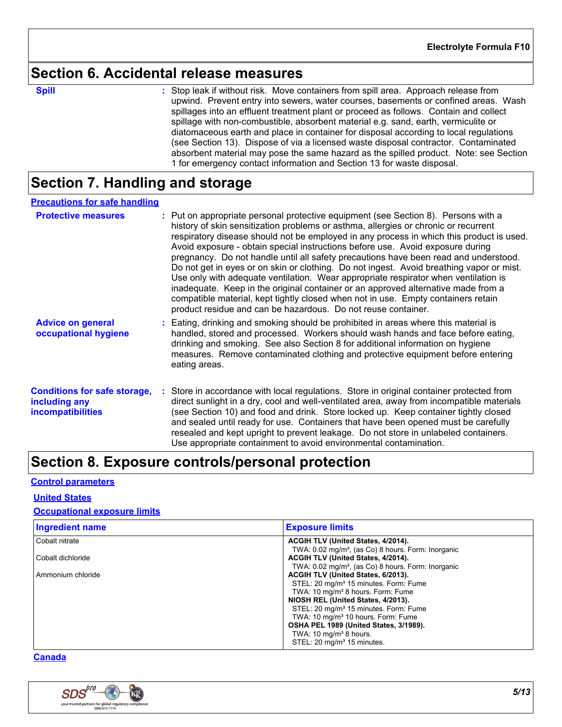### **Section 6. Accidental release measures**

**Spill** Stop leak if without risk. Move containers from spill area. Approach release from spill upwind. Prevent entry into sewers, water courses, basements or confined areas. Wash spillages into an effluent treatment plant or proceed as follows. Contain and collect spillage with non-combustible, absorbent material e.g. sand, earth, vermiculite or diatomaceous earth and place in container for disposal according to local regulations (see Section 13). Dispose of via a licensed waste disposal contractor. Contaminated absorbent material may pose the same hazard as the spilled product. Note: see Section 1 for emergency contact information and Section 13 for waste disposal.

## **Section 7. Handling and storage**

#### **Precautions for safe handling**

| <b>Protective measures</b>                                                       | : Put on appropriate personal protective equipment (see Section 8). Persons with a<br>history of skin sensitization problems or asthma, allergies or chronic or recurrent<br>respiratory disease should not be employed in any process in which this product is used.<br>Avoid exposure - obtain special instructions before use. Avoid exposure during<br>pregnancy. Do not handle until all safety precautions have been read and understood.<br>Do not get in eyes or on skin or clothing. Do not ingest. Avoid breathing vapor or mist.<br>Use only with adequate ventilation. Wear appropriate respirator when ventilation is<br>inadequate. Keep in the original container or an approved alternative made from a<br>compatible material, kept tightly closed when not in use. Empty containers retain<br>product residue and can be hazardous. Do not reuse container. |
|----------------------------------------------------------------------------------|-------------------------------------------------------------------------------------------------------------------------------------------------------------------------------------------------------------------------------------------------------------------------------------------------------------------------------------------------------------------------------------------------------------------------------------------------------------------------------------------------------------------------------------------------------------------------------------------------------------------------------------------------------------------------------------------------------------------------------------------------------------------------------------------------------------------------------------------------------------------------------|
| <b>Advice on general</b><br>occupational hygiene                                 | Eating, drinking and smoking should be prohibited in areas where this material is<br>handled, stored and processed. Workers should wash hands and face before eating,<br>drinking and smoking. See also Section 8 for additional information on hygiene<br>measures. Remove contaminated clothing and protective equipment before entering<br>eating areas.                                                                                                                                                                                                                                                                                                                                                                                                                                                                                                                   |
| <b>Conditions for safe storage,</b><br>including any<br><b>incompatibilities</b> | Store in accordance with local regulations. Store in original container protected from<br>direct sunlight in a dry, cool and well-ventilated area, away from incompatible materials<br>(see Section 10) and food and drink. Store locked up. Keep container tightly closed<br>and sealed until ready for use. Containers that have been opened must be carefully<br>resealed and kept upright to prevent leakage. Do not store in unlabeled containers.<br>Use appropriate containment to avoid environmental contamination.                                                                                                                                                                                                                                                                                                                                                  |

### **Section 8. Exposure controls/personal protection**

#### **Control parameters**

#### **United States**

#### **Occupational exposure limits**

| <b>Ingredient name</b> | <b>Exposure limits</b>                                         |
|------------------------|----------------------------------------------------------------|
| Cobalt nitrate         | ACGIH TLV (United States, 4/2014).                             |
|                        | TWA: 0.02 mg/m <sup>3</sup> , (as Co) 8 hours. Form: Inorganic |
| Cobalt dichloride      | ACGIH TLV (United States, 4/2014).                             |
|                        | TWA: 0.02 mg/m <sup>3</sup> , (as Co) 8 hours. Form: Inorganic |
| Ammonium chloride      | ACGIH TLV (United States, 6/2013).                             |
|                        | STEL: 20 mg/m <sup>3</sup> 15 minutes. Form: Fume              |
|                        | TWA: 10 mg/m <sup>3</sup> 8 hours. Form: Fume                  |
|                        | NIOSH REL (United States, 4/2013).                             |
|                        | STEL: 20 mg/m <sup>3</sup> 15 minutes. Form: Fume              |
|                        | TWA: 10 mg/m <sup>3</sup> 10 hours. Form: Fume                 |
|                        | <b>OSHA PEL 1989 (United States, 3/1989).</b>                  |
|                        | TWA: 10 mg/m <sup>3</sup> 8 hours.                             |
|                        | STEL: 20 mg/m <sup>3</sup> 15 minutes.                         |

#### **Canada**

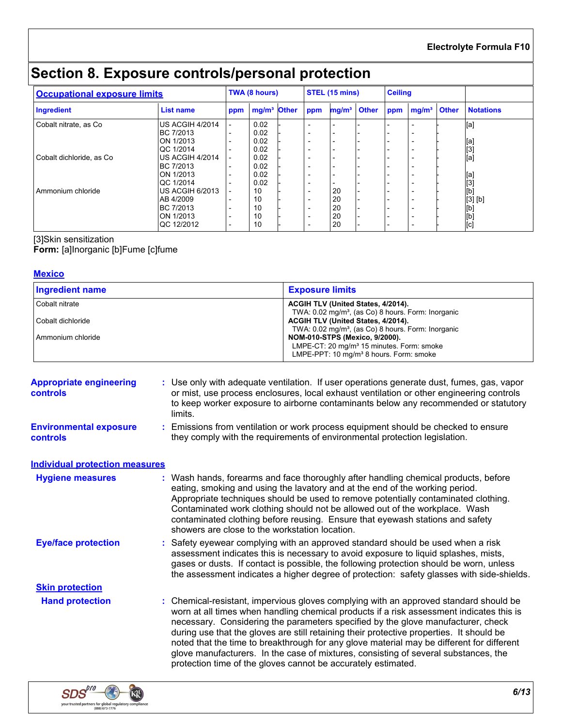**Electrolyte Formula F10**

## **Section 8. Exposure controls/personal protection**

| <b>Occupational exposure limits</b> |                        |     | TWA (8 hours)           |     | STEL (15 mins)           | <b>Ceiling</b> |                          |                  |
|-------------------------------------|------------------------|-----|-------------------------|-----|--------------------------|----------------|--------------------------|------------------|
| Ingredient                          | List name              | ppm | mg/m <sup>3</sup> Other | ppm | mg/m <sup>3</sup> Other  | ppm            | mg/m <sup>3</sup> Other  | <b>Notations</b> |
| Cobalt nitrate, as Co.              | <b>US ACGIH 4/2014</b> |     | 0.02                    |     |                          |                |                          | [a]              |
|                                     | BC 7/2013              |     | 0.02                    |     | $\overline{\phantom{0}}$ |                |                          |                  |
|                                     | ON 1/2013              |     | 0.02                    |     | $\overline{\phantom{0}}$ |                | $\overline{\phantom{0}}$ | [a]              |
|                                     | QC 1/2014              |     | 0.02                    |     | $\overline{\phantom{0}}$ |                | $\overline{\phantom{0}}$ |                  |
| Cobalt dichloride, as Co.           | US ACGIH 4/2014        |     | 0.02                    |     | $\overline{\phantom{0}}$ |                |                          | [3]<br>[a]       |
|                                     | BC 7/2013              |     | 0.02                    |     | $\overline{\phantom{0}}$ |                |                          |                  |
|                                     | ON 1/2013              |     | 0.02                    |     | $\overline{\phantom{0}}$ |                |                          | [a]              |
|                                     | QC 1/2014              |     | 0.02                    |     | -                        |                |                          | $\overline{[}3$  |
| Ammonium chloride                   | US ACGIH 6/2013        |     | 10                      |     | 20                       |                |                          | [b]              |
|                                     | AB 4/2009              |     | 10                      |     | 20                       |                |                          | $[3]$ $[b]$      |
|                                     | BC 7/2013              |     | 10                      |     | 20                       |                |                          |                  |
|                                     | ON 1/2013              |     | 10                      |     | 20                       |                |                          | [b]<br>[c]       |
|                                     | QC 12/2012             |     | 10                      |     | 20                       |                | $\overline{\phantom{0}}$ |                  |

[3]Skin sensitization

**Form:** [a]Inorganic [b]Fume [c]fume

#### **Mexico**

| <b>Ingredient name</b> | <b>Exposure limits</b>                                         |
|------------------------|----------------------------------------------------------------|
| Cobalt nitrate         | ACGIH TLV (United States, 4/2014).                             |
|                        | TWA: 0.02 mg/m <sup>3</sup> , (as Co) 8 hours. Form: Inorganic |
| Cobalt dichloride      | ACGIH TLV (United States, 4/2014).                             |
|                        | TWA: 0.02 mg/m <sup>3</sup> , (as Co) 8 hours. Form: Inorganic |
| Ammonium chloride      | <b>NOM-010-STPS (Mexico, 9/2000).</b>                          |
|                        | LMPE-CT: 20 mg/m <sup>3</sup> 15 minutes. Form: smoke          |
|                        | LMPE-PPT: 10 mg/m <sup>3</sup> 8 hours. Form: smoke            |

| <b>Appropriate engineering</b><br><b>controls</b> | : Use only with adequate ventilation. If user operations generate dust, fumes, gas, vapor<br>or mist, use process enclosures, local exhaust ventilation or other engineering controls<br>to keep worker exposure to airborne contaminants below any recommended or statutory<br>limits.                                                                                                                                                                                                                                                                                                                                |
|---------------------------------------------------|------------------------------------------------------------------------------------------------------------------------------------------------------------------------------------------------------------------------------------------------------------------------------------------------------------------------------------------------------------------------------------------------------------------------------------------------------------------------------------------------------------------------------------------------------------------------------------------------------------------------|
| <b>Environmental exposure</b><br>controls         | : Emissions from ventilation or work process equipment should be checked to ensure<br>they comply with the requirements of environmental protection legislation.                                                                                                                                                                                                                                                                                                                                                                                                                                                       |
| <b>Individual protection measures</b>             |                                                                                                                                                                                                                                                                                                                                                                                                                                                                                                                                                                                                                        |
| <b>Hygiene measures</b>                           | : Wash hands, forearms and face thoroughly after handling chemical products, before<br>eating, smoking and using the lavatory and at the end of the working period.<br>Appropriate techniques should be used to remove potentially contaminated clothing.<br>Contaminated work clothing should not be allowed out of the workplace. Wash<br>contaminated clothing before reusing. Ensure that eyewash stations and safety<br>showers are close to the workstation location.                                                                                                                                            |
| <b>Eye/face protection</b>                        | : Safety eyewear complying with an approved standard should be used when a risk<br>assessment indicates this is necessary to avoid exposure to liquid splashes, mists,<br>gases or dusts. If contact is possible, the following protection should be worn, unless<br>the assessment indicates a higher degree of protection: safety glasses with side-shields.                                                                                                                                                                                                                                                         |
| <b>Skin protection</b>                            |                                                                                                                                                                                                                                                                                                                                                                                                                                                                                                                                                                                                                        |
| <b>Hand protection</b>                            | : Chemical-resistant, impervious gloves complying with an approved standard should be<br>worn at all times when handling chemical products if a risk assessment indicates this is<br>necessary. Considering the parameters specified by the glove manufacturer, check<br>during use that the gloves are still retaining their protective properties. It should be<br>noted that the time to breakthrough for any glove material may be different for different<br>glove manufacturers. In the case of mixtures, consisting of several substances, the<br>protection time of the gloves cannot be accurately estimated. |

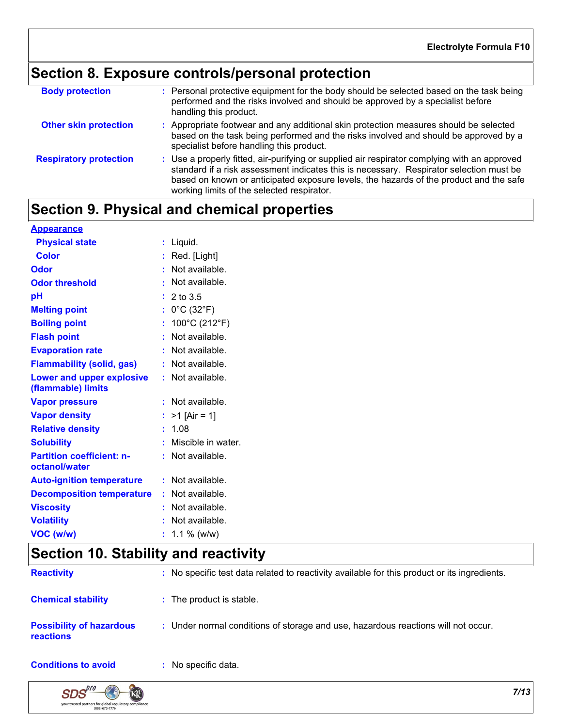## **Section 8. Exposure controls/personal protection**

| <b>Body protection</b>        | : Personal protective equipment for the body should be selected based on the task being<br>performed and the risks involved and should be approved by a specialist before<br>handling this product.                                                                                                                             |
|-------------------------------|---------------------------------------------------------------------------------------------------------------------------------------------------------------------------------------------------------------------------------------------------------------------------------------------------------------------------------|
| <b>Other skin protection</b>  | : Appropriate footwear and any additional skin protection measures should be selected<br>based on the task being performed and the risks involved and should be approved by a<br>specialist before handling this product.                                                                                                       |
| <b>Respiratory protection</b> | : Use a properly fitted, air-purifying or supplied air respirator complying with an approved<br>standard if a risk assessment indicates this is necessary. Respirator selection must be<br>based on known or anticipated exposure levels, the hazards of the product and the safe<br>working limits of the selected respirator. |

## **Section 9. Physical and chemical properties**

| <b>Appearance</b>                                 |                                      |
|---------------------------------------------------|--------------------------------------|
| <b>Physical state</b>                             | $:$ Liquid.                          |
| <b>Color</b>                                      | $:$ Red. [Light]                     |
| <b>Odor</b>                                       | $:$ Not available.                   |
| <b>Odor threshold</b>                             | : Not available.                     |
| pH                                                | : 2 to 3.5                           |
| <b>Melting point</b>                              | : $0^{\circ}$ C (32 $^{\circ}$ F)    |
| <b>Boiling point</b>                              | : $100^{\circ}$ C (212 $^{\circ}$ F) |
| <b>Flash point</b>                                | : Not available.                     |
| <b>Evaporation rate</b>                           | : Not available.                     |
| <b>Flammability (solid, gas)</b>                  | : Not available.                     |
| Lower and upper explosive<br>(flammable) limits   | : Not available.                     |
| <b>Vapor pressure</b>                             | : Not available.                     |
| <b>Vapor density</b>                              | : $>1$ [Air = 1]                     |
| <b>Relative density</b>                           | : 1.08                               |
| <b>Solubility</b>                                 | : Miscible in water.                 |
| <b>Partition coefficient: n-</b><br>octanol/water | : Not available.                     |
| <b>Auto-ignition temperature</b>                  | $:$ Not available.                   |
| <b>Decomposition temperature</b>                  | : Not available.                     |
| <b>Viscosity</b>                                  | : Not available.                     |
| <b>Volatility</b>                                 | : Not available.                     |
| VOC (w/w)                                         | $: 1.1 \%$ (w/w)                     |

## **Section 10. Stability and reactivity**

| <b>Reactivity</b>                                   | : No specific test data related to reactivity available for this product or its ingredients. |
|-----------------------------------------------------|----------------------------------------------------------------------------------------------|
| <b>Chemical stability</b>                           | : The product is stable.                                                                     |
| <b>Possibility of hazardous</b><br><b>reactions</b> | : Under normal conditions of storage and use, hazardous reactions will not occur.            |
| <b>Conditions to avoid</b>                          | No specific data.                                                                            |

**Conditions to avoid** 

 $SDS$ <sup> $\rho$ ro</sup>

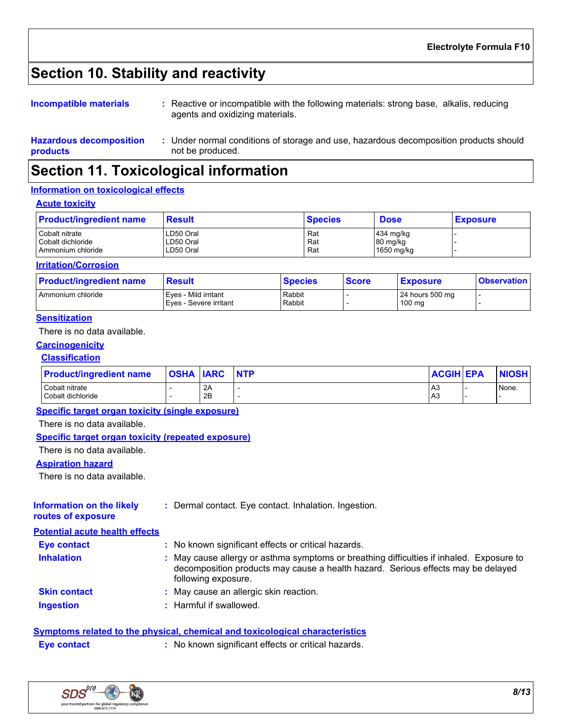## **Section 10. Stability and reactivity**

| Incompatible materials | Reactive or incompatible with the following materials: strong base, alkalis, reducing<br>agents and oxidizing materials. |
|------------------------|--------------------------------------------------------------------------------------------------------------------------|
|                        |                                                                                                                          |

Under normal conditions of storage and use, hazardous decomposition products should **:**

## **Section 11. Toxicological information**

not be produced.

#### **Information on toxicological effects**

**Hazardous decomposition** 

#### **Acute toxicity**

**products**

| <b>Product/ingredient name</b> | <b>Result</b> | <b>Species</b> | <b>Dose</b>           | <b>Exposure</b> |
|--------------------------------|---------------|----------------|-----------------------|-----------------|
| Cobalt nitrate                 | LD50 Oral     | Rat            | $ 434 \text{ mg/kg} $ |                 |
| l Cobalt dichloride            | LD50 Oral     | Rat            | 80 mg/kg              |                 |
| Ammonium chloride              | LD50 Oral     | Rat            | 1650 mg/kg            |                 |

#### **Irritation/Corrosion**

| <b>Product/ingredient name</b> | <b>Result</b>                                  | <b>Species</b>   | <b>Score</b> | <b>Exposure</b>           | <b>Observation</b> |
|--------------------------------|------------------------------------------------|------------------|--------------|---------------------------|--------------------|
| Ammonium chloride              | Eves - Mild irritant<br>Eves - Severe irritant | Rabbit<br>Rabbit |              | 24 hours 500 mg<br>100 mg |                    |

#### **Sensitization**

There is no data available.

### **Carcinogenicity**

#### **Classification**

| <b>Product/ingredient name</b> | <b>OSHA IARC</b> |    | <b>NTP</b> | <b>ACGIH EPA</b> | <b>NIOSH</b> |
|--------------------------------|------------------|----|------------|------------------|--------------|
| Cobalt nitrate                 |                  | 2A |            | A <sub>3</sub>   | None.        |
| Cobalt dichloride              |                  | 2B |            | A <sub>3</sub>   |              |

#### **Specific target organ toxicity (single exposure)**

There is no data available.

#### **Specific target organ toxicity (repeated exposure)**

There is no data available.

#### **Aspiration hazard**

There is no data available.

| <b>Information on the likely</b><br>routes of exposure | Dermal contact. Eye contact. Inhalation. Ingestion.                                                                                                                                               |
|--------------------------------------------------------|---------------------------------------------------------------------------------------------------------------------------------------------------------------------------------------------------|
| <b>Potential acute health effects</b>                  |                                                                                                                                                                                                   |
| <b>Eye contact</b>                                     | : No known significant effects or critical hazards.                                                                                                                                               |
| <b>Inhalation</b>                                      | May cause allergy or asthma symptoms or breathing difficulties if inhaled. Exposure to<br>decomposition products may cause a health hazard. Serious effects may be delayed<br>following exposure. |
| <b>Skin contact</b>                                    | May cause an allergic skin reaction.                                                                                                                                                              |
| <b>Ingestion</b>                                       | Harmful if swallowed.                                                                                                                                                                             |

#### **Symptoms related to the physical, chemical and toxicological characteristics**

**Eye contact :** No known significant effects or critical hazards.

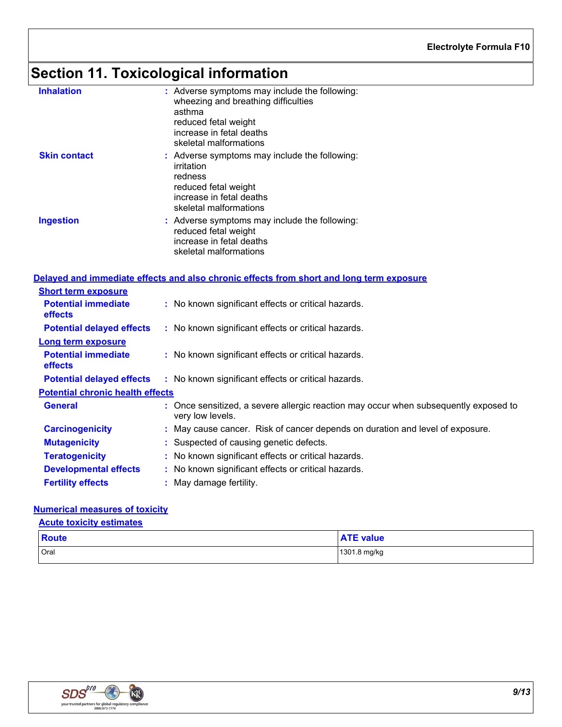# **Section 11. Toxicological information**

| <b>Inhalation</b>                       | : Adverse symptoms may include the following:<br>wheezing and breathing difficulties<br>asthma<br>reduced fetal weight<br>increase in fetal deaths<br>skeletal malformations |
|-----------------------------------------|------------------------------------------------------------------------------------------------------------------------------------------------------------------------------|
| <b>Skin contact</b>                     | : Adverse symptoms may include the following:<br>irritation<br>redness<br>reduced fetal weight<br>increase in fetal deaths<br>skeletal malformations                         |
| <b>Ingestion</b>                        | : Adverse symptoms may include the following:<br>reduced fetal weight<br>increase in fetal deaths<br>skeletal malformations                                                  |
|                                         | Delayed and immediate effects and also chronic effects from short and long term exposure                                                                                     |
| <b>Short term exposure</b>              |                                                                                                                                                                              |
| <b>Potential immediate</b><br>effects   | : No known significant effects or critical hazards.                                                                                                                          |
| <b>Potential delayed effects</b>        | : No known significant effects or critical hazards.                                                                                                                          |
| <b>Long term exposure</b>               |                                                                                                                                                                              |
| <b>Potential immediate</b><br>effects   | : No known significant effects or critical hazards.                                                                                                                          |
| <b>Potential delayed effects</b>        | : No known significant effects or critical hazards.                                                                                                                          |
| <b>Potential chronic health effects</b> |                                                                                                                                                                              |
| General                                 | : Once sensitized, a severe allergic reaction may occur when subsequently exposed to<br>very low levels.                                                                     |
| <b>Carcinogenicity</b>                  | : May cause cancer. Risk of cancer depends on duration and level of exposure.                                                                                                |
| <b>Mutagenicity</b>                     | : Suspected of causing genetic defects.                                                                                                                                      |
| <b>Teratogenicity</b>                   | : No known significant effects or critical hazards.                                                                                                                          |
| <b>Developmental effects</b>            | : No known significant effects or critical hazards.                                                                                                                          |
| <b>Fertility effects</b>                | : May damage fertility.                                                                                                                                                      |

#### **Numerical measures of toxicity**

#### **Acute toxicity estimates**

| Route | <b>ATE value</b> |
|-------|------------------|
| Oral  | 1301.8 mg/kg     |

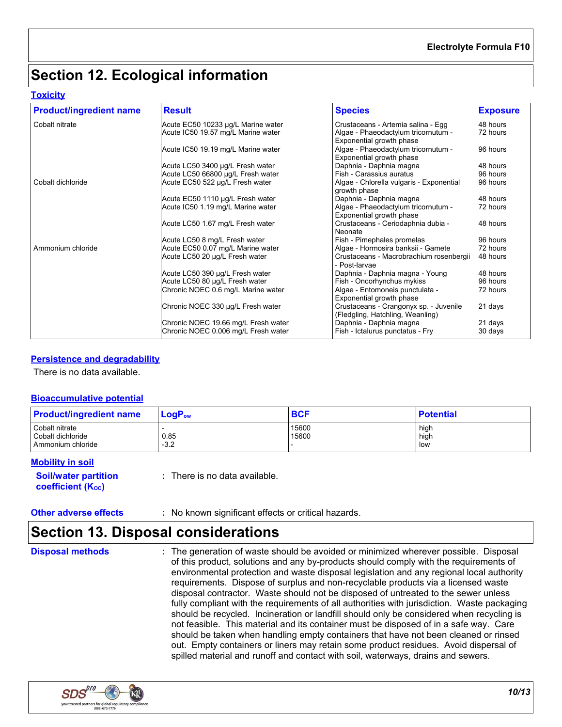## **Section 12. Ecological information**

#### **Toxicity**

| <b>Product/ingredient name</b> | <b>Result</b>                       | <b>Species</b>                                                                              | <b>Exposure</b> |
|--------------------------------|-------------------------------------|---------------------------------------------------------------------------------------------|-----------------|
| Cobalt nitrate                 | Acute EC50 10233 µg/L Marine water  | Crustaceans - Artemia salina - Egg                                                          | 48 hours        |
|                                | Acute IC50 19.57 mg/L Marine water  | Algae - Phaeodactylum tricornutum -                                                         | 72 hours        |
|                                | Acute IC50 19.19 mg/L Marine water  | Exponential growth phase<br>Algae - Phaeodactylum tricornutum -<br>Exponential growth phase | 96 hours        |
|                                | Acute LC50 3400 µg/L Fresh water    | Daphnia - Daphnia magna                                                                     | 48 hours        |
|                                | Acute LC50 66800 µg/L Fresh water   | Fish - Carassius auratus                                                                    | 96 hours        |
| Cobalt dichloride              | Acute EC50 522 µg/L Fresh water     | Algae - Chlorella vulgaris - Exponential<br>growth phase                                    | 96 hours        |
|                                | Acute EC50 1110 µg/L Fresh water    | Daphnia - Daphnia magna                                                                     | 48 hours        |
|                                | Acute IC50 1.19 mg/L Marine water   | Algae - Phaeodactylum tricornutum -<br>Exponential growth phase                             | 72 hours        |
|                                | Acute LC50 1.67 mg/L Fresh water    | Crustaceans - Ceriodaphnia dubia -<br>Neonate                                               | 48 hours        |
|                                | Acute LC50 8 mg/L Fresh water       | Fish - Pimephales promelas                                                                  | 96 hours        |
| Ammonium chloride              | Acute EC50 0.07 mg/L Marine water   | Algae - Hormosira banksii - Gamete                                                          | 72 hours        |
|                                | Acute LC50 20 µg/L Fresh water      | Crustaceans - Macrobrachium rosenbergii<br>- Post-larvae                                    | 48 hours        |
|                                | Acute LC50 390 µg/L Fresh water     | Daphnia - Daphnia magna - Young                                                             | 48 hours        |
|                                | Acute LC50 80 µg/L Fresh water      | Fish - Oncorhynchus mykiss                                                                  | 96 hours        |
|                                | Chronic NOEC 0.6 mg/L Marine water  | Algae - Entomoneis punctulata -<br>Exponential growth phase                                 | 72 hours        |
|                                | Chronic NOEC 330 µg/L Fresh water   | Crustaceans - Crangonyx sp. - Juvenile<br>(Fledgling, Hatchling, Weanling)                  | 21 days         |
|                                | Chronic NOEC 19.66 mg/L Fresh water | Daphnia - Daphnia magna                                                                     | 21 days         |
|                                | Chronic NOEC 0.006 mg/L Fresh water | Fish - Ictalurus punctatus - Fry                                                            | 30 days         |

#### **Persistence and degradability**

There is no data available.

#### **Bioaccumulative potential**

| <b>Product/ingredient name</b>                           | $LogP_{ow}$    | <b>BCF</b>     | <b>Potential</b>    |
|----------------------------------------------------------|----------------|----------------|---------------------|
| Cobalt nitrate<br>Cobalt dichloride<br>Ammonium chloride | 0.85<br>$-3.2$ | 15600<br>15600 | high<br>high<br>low |

#### **Mobility in soil**

**Soil/water partition coefficient (Koc)** 

**:** There is no data available.

### **Section 13. Disposal considerations**

**Disposal methods :**

The generation of waste should be avoided or minimized wherever possible. Disposal of this product, solutions and any by-products should comply with the requirements of environmental protection and waste disposal legislation and any regional local authority requirements. Dispose of surplus and non-recyclable products via a licensed waste disposal contractor. Waste should not be disposed of untreated to the sewer unless fully compliant with the requirements of all authorities with jurisdiction. Waste packaging should be recycled. Incineration or landfill should only be considered when recycling is not feasible. This material and its container must be disposed of in a safe way. Care should be taken when handling empty containers that have not been cleaned or rinsed out. Empty containers or liners may retain some product residues. Avoid dispersal of spilled material and runoff and contact with soil, waterways, drains and sewers.

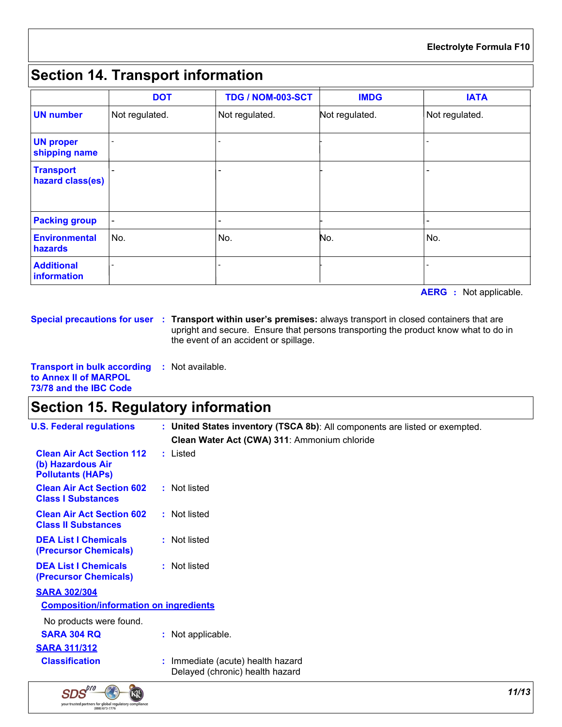## **Section 14. Transport information**

|                                      | <b>DOT</b>     | <b>TDG / NOM-003-SCT</b> | <b>IMDG</b>    | <b>IATA</b>    |
|--------------------------------------|----------------|--------------------------|----------------|----------------|
| <b>UN number</b>                     | Not regulated. | Not regulated.           | Not regulated. | Not regulated. |
| <b>UN proper</b><br>shipping name    |                |                          |                |                |
| <b>Transport</b><br>hazard class(es) |                |                          |                |                |
| <b>Packing group</b>                 |                |                          |                |                |
| <b>Environmental</b><br>hazards      | No.            | No.                      | No.            | No.            |
| <b>Additional</b><br>information     |                |                          |                |                |

**AERG :** Not applicable.

**Special precautions for user Transport within user's premises:** always transport in closed containers that are **:** upright and secure. Ensure that persons transporting the product know what to do in the event of an accident or spillage.

**Transport in bulk according :** Not available. **to Annex II of MARPOL 73/78 and the IBC Code**

## **Section 15. Regulatory information**

| <b>U.S. Federal regulations</b>                                                   | : United States inventory (TSCA 8b): All components are listed or exempted.<br>Clean Water Act (CWA) 311: Ammonium chloride |
|-----------------------------------------------------------------------------------|-----------------------------------------------------------------------------------------------------------------------------|
| <b>Clean Air Act Section 112</b><br>(b) Hazardous Air<br><b>Pollutants (HAPS)</b> | : Listed                                                                                                                    |
| <b>Clean Air Act Section 602</b><br><b>Class I Substances</b>                     | : Not listed                                                                                                                |
| <b>Clean Air Act Section 602</b><br><b>Class II Substances</b>                    | : Not listed                                                                                                                |
| <b>DEA List I Chemicals</b><br>(Precursor Chemicals)                              | : Not listed                                                                                                                |
| <b>DEA List I Chemicals</b><br>(Precursor Chemicals)                              | : Not listed                                                                                                                |
| <b>SARA 302/304</b>                                                               |                                                                                                                             |
| <b>Composition/information on ingredients</b>                                     |                                                                                                                             |
| No products were found.                                                           |                                                                                                                             |
| <b>SARA 304 RQ</b>                                                                | : Not applicable.                                                                                                           |
| <b>SARA 311/312</b>                                                               |                                                                                                                             |
| <b>Classification</b>                                                             | : Immediate (acute) health hazard<br>Delayed (chronic) health hazard                                                        |

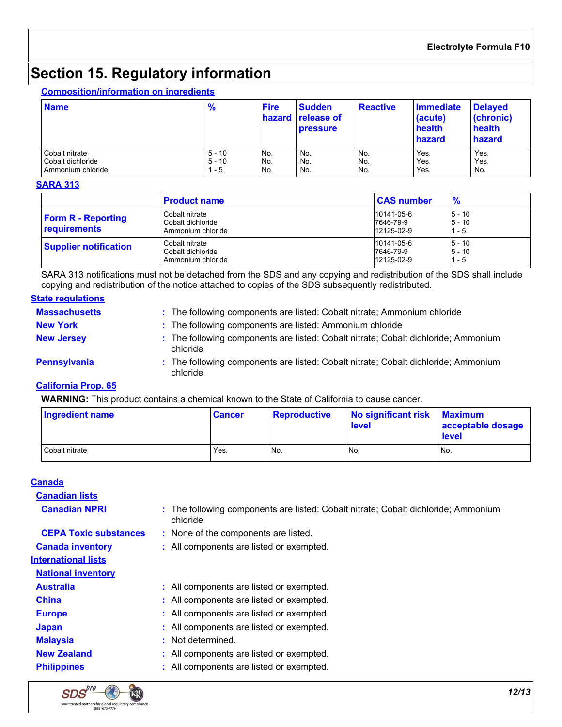## **Section 15. Regulatory information**

#### **Composition/information on ingredients**

| <b>Name</b>       | $\frac{9}{6}$ | <b>Fire</b> | <b>Sudden</b><br>hazard release of<br><b>pressure</b> | Reactive | Immediate<br>(acute)<br>health<br>hazard | <b>Delayed</b><br>(chronic)<br>health<br>hazard |
|-------------------|---------------|-------------|-------------------------------------------------------|----------|------------------------------------------|-------------------------------------------------|
| Cobalt nitrate    | $5 - 10$      | No.         | No.                                                   | No.      | Yes.                                     | Yes.                                            |
| Cobalt dichloride | $5 - 10$      | No.         | No.                                                   | No.      | Yes.                                     | Yes.                                            |
| Ammonium chloride | l - 5         | No.         | No.                                                   | No.      | Yes.                                     | No.                                             |

#### **SARA 313**

|                                                  | <b>Product name</b>                                      | <b>CAS number</b>                     | $\frac{9}{6}$               |  |
|--------------------------------------------------|----------------------------------------------------------|---------------------------------------|-----------------------------|--|
| <b>Form R - Reporting</b><br><b>requirements</b> | Cobalt nitrate<br>Cobalt dichloride<br>Ammonium chloride | 10141-05-6<br>7646-79-9<br>12125-02-9 | $5 - 10$<br>$5 - 10$<br>- 5 |  |
| <b>Supplier notification</b>                     | Cobalt nitrate<br>Cobalt dichloride<br>Ammonium chloride | 10141-05-6<br>7646-79-9<br>12125-02-9 | $5 - 10$<br>$5 - 10$<br>- 5 |  |

SARA 313 notifications must not be detached from the SDS and any copying and redistribution of the SDS shall include copying and redistribution of the notice attached to copies of the SDS subsequently redistributed.

#### **State regulations**

| <b>Massachusetts</b> | : The following components are listed: Cobalt nitrate; Ammonium chloride                       |
|----------------------|------------------------------------------------------------------------------------------------|
| <b>New York</b>      | : The following components are listed: Ammonium chloride                                       |
| <b>New Jersey</b>    | : The following components are listed: Cobalt nitrate; Cobalt dichloride; Ammonium<br>chloride |
| <b>Pennsylvania</b>  | : The following components are listed: Cobalt nitrate; Cobalt dichloride; Ammonium<br>chloride |

#### **California Prop. 65**

**WARNING:** This product contains a chemical known to the State of California to cause cancer.

| <b>Ingredient name</b> | <b>Cancer</b> | <b>Reproductive</b> | No significant risk<br>level | <b>Maximum</b><br>acceptable dosage<br>level |
|------------------------|---------------|---------------------|------------------------------|----------------------------------------------|
| Cobalt nitrate         | Yes.          | No.                 | No.                          | INo.                                         |

#### **Canada**

**Canadian lists Canadian NPRI :**

The following components are listed: Cobalt nitrate; Cobalt dichloride; Ammonium chloride

**CEPA Toxic substances :** None of the components are listed.

**Canada inventory :** All components are listed or exempted.

#### **International lists**

**National inventory**

- **Australia :** All components are listed or exempted.
- **China :** All components are listed or exempted.
- **Europe :** All components are listed or exempted.
- **Japan :** All components are listed or exempted.
- **Malaysia :** Not determined.
- **New Zealand :** All components are listed or exempted.
- **Philippines :** All components are listed or exempted.